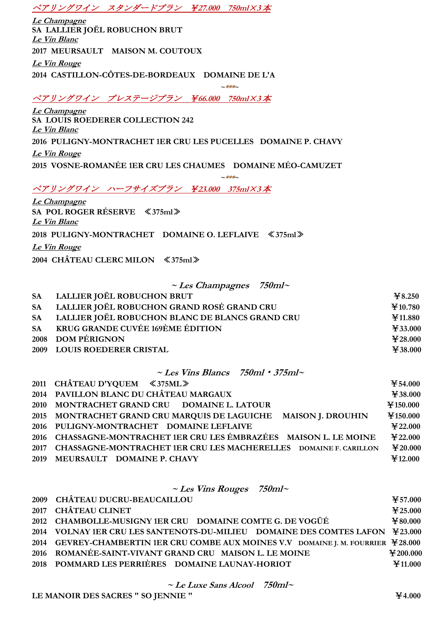## ペアリングワイン スタンダードプラン ¥**27.000 750ml**×**<sup>3</sup>** 本

**Le Champagne SA LALLIER JOËL ROBUCHON BRUT Le Vin Blanc 2017 MEURSAULT MAISON M. COUTOUX Le Vin Rouge 2014 CASTILLON-CÔTES-DE-BORDEAUX DOMAINE DE L'A**

ペアリングワイン プレステージプラン ¥**66.000 750ml**×**<sup>3</sup>** 本

**Le Champagne SA LOUIS ROEDERER COLLECTION 242 Le Vin Blanc 2016 PULIGNY-MONTRACHET 1ER CRU LES PUCELLES DOMAINE P. CHAVY Le Vin Rouge 2015 VOSNE-ROMANÉE 1ER CRU LES CHAUMES DOMAINE MÉO-CAMUZET**

 $~~~$ \*\*\*

 $~~~$ \*\*\*

ペアリングワイン ハーフサイズプラン ¥**23.000 375ml**×**3** 本

**Le Champagne SA POL ROGER RÉSERVE** ≪**375ml**≫ **Le Vin Blanc 2018 PULIGNY-MONTRACHET DOMAINE O. LEFLAIVE** ≪**375ml**≫ **Le Vin Rouge 2004 CHÂTEAU CLERC MILON** ≪**375ml**≫

**~ Les Champagnes 750ml<sup>~</sup>**

| SA LALLIER JOËL ROBUCHON BRUT                      | $\textcolor{blue}{\bf\textcolor{blue}{\bf\textcolor{blue}{\bf\textcolor{blue}{\bf\textcolor{blue}{\bf\textcolor{blue}{\bf\textcolor{blue}{\bf\textcolor{blue}{\bf\textcolor{blue}{\bf\textcolor{blue}{\bf\textcolor{blue}{\bf\textcolor{blue}{\bf\textcolor{blue}{\bf\textcolor{blue}{\bf\textcolor{blue}{\bf\textcolor{blue}{\bf\textcolor{blue}{\bf\textcolor{blue}{\bf\textcolor{blue}{\bf\textcolor{blue}{\bf\textcolor{blue}{\bf\textcolor{blue}{\bf\textcolor{blue}{\bf\textcolor{blue}{\bf\textcolor{blue}{\bf\textcolor{blue}{\bf\textcolor{blue}{\bf\textcolor{$ |
|----------------------------------------------------|---------------------------------------------------------------------------------------------------------------------------------------------------------------------------------------------------------------------------------------------------------------------------------------------------------------------------------------------------------------------------------------------------------------------------------------------------------------------------------------------------------------------------------------------------------------------------|
| SA LALLIER JOËL ROBUCHON GRAND ROSÉ GRAND CRU      | ¥10.780                                                                                                                                                                                                                                                                                                                                                                                                                                                                                                                                                                   |
| SA LALLIER JOËL ROBUCHON BLANC DE BLANCS GRAND CRU | ¥11.880                                                                                                                                                                                                                                                                                                                                                                                                                                                                                                                                                                   |
| SA KRUG GRANDE CUVÉE 169ÈME ÉDITION                | ¥ 33.000                                                                                                                                                                                                                                                                                                                                                                                                                                                                                                                                                                  |
| 2008 DOM PÉRIGNON                                  | $*28.000$                                                                                                                                                                                                                                                                                                                                                                                                                                                                                                                                                                 |
| 2009 LOUIS ROEDERER CRISTAL                        | 438,000                                                                                                                                                                                                                                                                                                                                                                                                                                                                                                                                                                   |
|                                                    |                                                                                                                                                                                                                                                                                                                                                                                                                                                                                                                                                                           |

**~ Les Vins Blancs 750ml**・**375ml<sup>~</sup>**

| 2011 CHÂTEAU D'YQUEM $\leq 375ML \geq$                                | ¥ 54.000          |
|-----------------------------------------------------------------------|-------------------|
| 2014 PAVILLON BLANC DU CHÂTEAU MARGAUX                                | ¥38.000           |
| 2010 MONTRACHET GRAND CRU DOMAINE L. LATOUR                           | ¥150.000          |
| 2015 MONTRACHET GRAND CRU MARQUIS DE LAGUICHE MAISON J. DROUHIN       | ¥150.000          |
| 2016 PULIGNY-MONTRACHET DOMAINE LEFLAIVE                              | ¥ 22.000          |
| 2016 CHASSAGNE-MONTRACHET 1ER CRU LES ÉMBRAZÉES MAISON L. LE MOINE    | $\text{Y}_22,000$ |
| 2017 CHASSAGNE-MONTRACHET 1ER CRU LES MACHERELLES DOMAINE F. CARILLON | $\text{I}20.000$  |
| 2019 MEURSAULT DOMAINE P. CHAVY                                       | ¥12.000           |

## **~ Les Vins Rouges 750ml<sup>~</sup>**

| 2009 CHÂTEAU DUCRU-BEAUCAILLOU                                                     | ¥ 57.000                       |
|------------------------------------------------------------------------------------|--------------------------------|
| 2017 CHÂTEAU CLINET                                                                | $\textbf{\textstyle{*}}25.000$ |
| 2012 CHAMBOLLE-MUSIGNY 1ER CRU DOMAINE COMTE G. DE VOGÜÉ                           | $*80.000$                      |
| 2014 VOLNAY 1ER CRU LES SANTENOTS-DU-MILIEU DOMAINE DES COMTES LAFON ¥23.000       |                                |
| 2014 GEVREY-CHAMBERTIN 1ER CRU COMBE AUX MOINES V.V DOMAINE J. M. FOURRIER ¥28.000 |                                |
| 2016 ROMANÉE-SAINT-VIVANT GRAND CRU MAISON L. LE MOINE                             | ¥200.000                       |
| 2018 POMMARD LES PERRIÈRES DOMAINE LAUNAY-HORIOT                                   | $*11.000$                      |

**~ Le Luxe Sans Alcool 750ml<sup>~</sup>**

**LE MANOIR DES SACRES " SO JENNIE "** ¥**4.000**